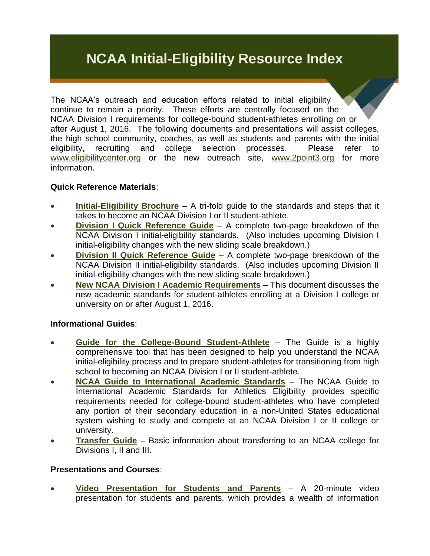# **NCAA Initial-Eligibility Resource Index**

The NCAA's outreach and education efforts related to initial eligibility continue to remain a priority. These efforts are centrally focused on the NCAA Division I requirements for college-bound student-athletes enrolling on or after August 1, 2016. The following documents and presentations will assist colleges, the high school community, coaches, as well as students and parents with the initial eligibility, recruiting and college selection processes. Please refer to [www.eligibilitycenter.org](http://www.eligibilitycenter.org/) or the new outreach site, [www.2point3.org](http://www.2point3.org/) for more information.

#### **Quick Reference Materials**:

- **[Initial-Eligibility Brochure](https://www.ncaapublications.com/p-4098-2014-15-ncaa-initial-eligibility-brochure-road-map-to-initial-eligibility.aspx)** A tri-fold guide to the standards and steps that it takes to become an NCAA Division I or II student-athlete.
- **Division I [Quick Reference Guide](http://fs.ncaa.org/Docs/eligibility_center/Quick_Reference_Sheet.pdf)** A complete two-page breakdown of the NCAA Division I initial-eligibility standards. (Also includes upcoming Division I initial-eligibility changes with the new sliding scale breakdown.)
- **[Division II Quick Reference Guide](http://fs.ncaa.org/docs/eligibility_center/DII_Quick_Reference_Guide.pdf)** A complete two-page breakdown of the NCAA Division II initial-eligibility standards. (Also includes upcoming Division II initial-eligibility changes with the new sliding scale breakdown.)
- **[New NCAA Division I Academic Requirements](http://fs.ncaa.org/Docs/eligibility_center/Important_New_Rules/2016_DI_New_Academic_Requirements.pdf)** This document discusses the new academic standards for student-athletes enrolling at a Division I college or university on or after August 1, 2016.

## **Informational Guides**:

- **[Guide for the College-Bound Student-Athlete](http://www.ncaapublications.com/p-4354-2014-15-ncaa-guide-for-the-college-bound-student-athlete-sold-as-a-package-of-25.aspx?CategoryID=0&SectionID=0&ManufacturerID=0&DistributorID=0&GenreID=0&VectorID=0&)** The Guide is a highly comprehensive tool that has been designed to help you understand the NCAA initial-eligibility process and to prepare student-athletes for transitioning from high school to becoming an NCAA Division I or II student-athlete.
- **[NCAA Guide to International Academic Standards](http://www.ncaapublications.com/p-4359-international-standards-2014-2015-guide-to-international-academic-standards-for-athletics-eligibility-updated-july-2014.aspx?CategoryID=0&SectionID=0&ManufacturerID=0&DistributorID=0&GenreID=0&VectorID=0&)** The NCAA Guide to International Academic Standards for Athletics Eligibility provides specific requirements needed for college-bound student-athletes who have completed any portion of their secondary education in a non-United States educational system wishing to study and compete at an NCAA Division I or II college or university.
- **[Transfer Guide](http://www.ncaapublications.com/p-4361-ncaa-transfer-guide-2014-15.aspx)** Basic information about transferring to an NCAA college for Divisions I, II and III.

#### **Presentations and Courses**:

 **Video [Presentation for Students](http://fs.ncaa.org/Docs/eligibility_center/Student_Resources/Path_to_the_Student-Athlete_Experience_for_PSA.mp4) and Parents** – A 20-minute video presentation for students and parents, which provides a wealth of information